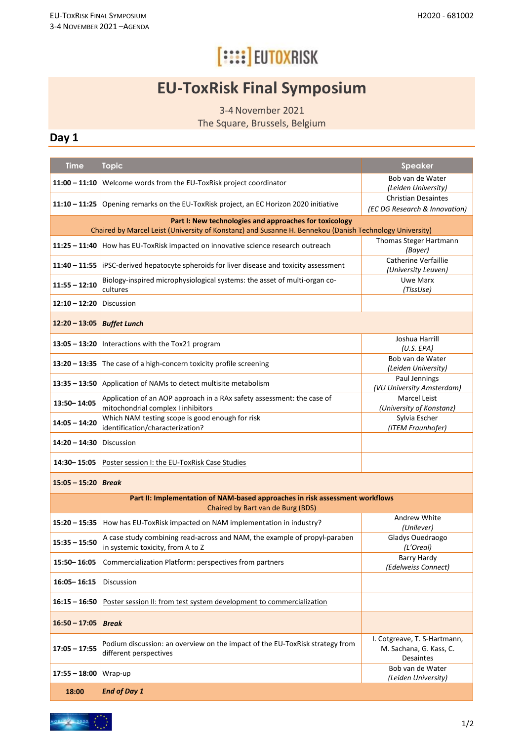# **[::::] EUTOXRISK**

### **EU-ToxRisk Final Symposium**

3-4November 2021

The Square, Brussels, Belgium

#### **Day 1**

| <b>Time</b>                                                                                                                                                       | <b>Topic</b>                                                                                                   | <b>Speaker</b>                                                              |  |
|-------------------------------------------------------------------------------------------------------------------------------------------------------------------|----------------------------------------------------------------------------------------------------------------|-----------------------------------------------------------------------------|--|
| $11:00 - 11:10$                                                                                                                                                   | Welcome words from the EU-ToxRisk project coordinator                                                          | Bob van de Water<br>(Leiden University)                                     |  |
|                                                                                                                                                                   |                                                                                                                | <b>Christian Desaintes</b>                                                  |  |
| $11:10 - 11:25$                                                                                                                                                   | Opening remarks on the EU-ToxRisk project, an EC Horizon 2020 initiative                                       | (EC DG Research & Innovation)                                               |  |
| Part I: New technologies and approaches for toxicology<br>Chaired by Marcel Leist (University of Konstanz) and Susanne H. Bennekou (Danish Technology University) |                                                                                                                |                                                                             |  |
|                                                                                                                                                                   |                                                                                                                | Thomas Steger Hartmann                                                      |  |
| $11:25 - 11:40$                                                                                                                                                   | How has EU-ToxRisk impacted on innovative science research outreach                                            | (Bayer)                                                                     |  |
|                                                                                                                                                                   | 11:40 - 11:55   iPSC-derived hepatocyte spheroids for liver disease and toxicity assessment                    | Catherine Verfaillie<br>(University Leuven)                                 |  |
| $11:55 - 12:10$                                                                                                                                                   | Biology-inspired microphysiological systems: the asset of multi-organ co-<br>cultures                          | <b>Uwe Marx</b><br>(TissUse)                                                |  |
| $12:10 - 12:20$                                                                                                                                                   | Discussion                                                                                                     |                                                                             |  |
| $12:20 - 13:05$                                                                                                                                                   | <b>Buffet Lunch</b>                                                                                            |                                                                             |  |
| $13:05 - 13:20$                                                                                                                                                   | Interactions with the Tox21 program                                                                            | Joshua Harrill<br>(U.S. EPA)                                                |  |
| $13:20 - 13:35$                                                                                                                                                   | The case of a high-concern toxicity profile screening                                                          | Bob van de Water<br>(Leiden University)                                     |  |
| $13:35 - 13:50$                                                                                                                                                   | Application of NAMs to detect multisite metabolism                                                             | Paul Jennings<br>(VU University Amsterdam)                                  |  |
| 13:50-14:05                                                                                                                                                       | Application of an AOP approach in a RAx safety assessment: the case of<br>mitochondrial complex I inhibitors   | Marcel Leist<br>(University of Konstanz)                                    |  |
| $14:05 - 14:20$                                                                                                                                                   | Which NAM testing scope is good enough for risk<br>identification/characterization?                            | Sylvia Escher<br>(ITEM Fraunhofer)                                          |  |
| 14:20 – 14:30                                                                                                                                                     | Discussion                                                                                                     |                                                                             |  |
| 14:30-15:05                                                                                                                                                       | Poster session I: the EU-ToxRisk Case Studies                                                                  |                                                                             |  |
| $15:05 - 15:20$                                                                                                                                                   | <b>Break</b>                                                                                                   |                                                                             |  |
| Part II: Implementation of NAM-based approaches in risk assessment workflows                                                                                      |                                                                                                                |                                                                             |  |
| Chaired by Bart van de Burg (BDS)                                                                                                                                 |                                                                                                                |                                                                             |  |
| $15:20 - 15:35$                                                                                                                                                   | How has EU-ToxRisk impacted on NAM implementation in industry?                                                 | Andrew White<br>(Unilever)                                                  |  |
| $15:35 - 15:50$                                                                                                                                                   | A case study combining read-across and NAM, the example of propyl-paraben<br>in systemic toxicity, from A to Z | Gladys Ouedraogo<br>(L'Oreal)                                               |  |
| 15:50-16:05                                                                                                                                                       | Commercialization Platform: perspectives from partners                                                         | Barry Hardy<br>(Edelweiss Connect)                                          |  |
| 16:05-16:15                                                                                                                                                       | <b>Discussion</b>                                                                                              |                                                                             |  |
| $16:15 - 16:50$                                                                                                                                                   | Poster session II: from test system development to commercialization                                           |                                                                             |  |
| $16:50 - 17:05$                                                                                                                                                   | <b>Break</b>                                                                                                   |                                                                             |  |
| $17:05 - 17:55$                                                                                                                                                   | Podium discussion: an overview on the impact of the EU-ToxRisk strategy from<br>different perspectives         | I. Cotgreave, T. S-Hartmann,<br>M. Sachana, G. Kass, C.<br><b>Desaintes</b> |  |
| $17:55 - 18:00$                                                                                                                                                   | Wrap-up                                                                                                        | Bob van de Water<br>(Leiden University)                                     |  |
| 18:00                                                                                                                                                             | <b>End of Day 1</b>                                                                                            |                                                                             |  |